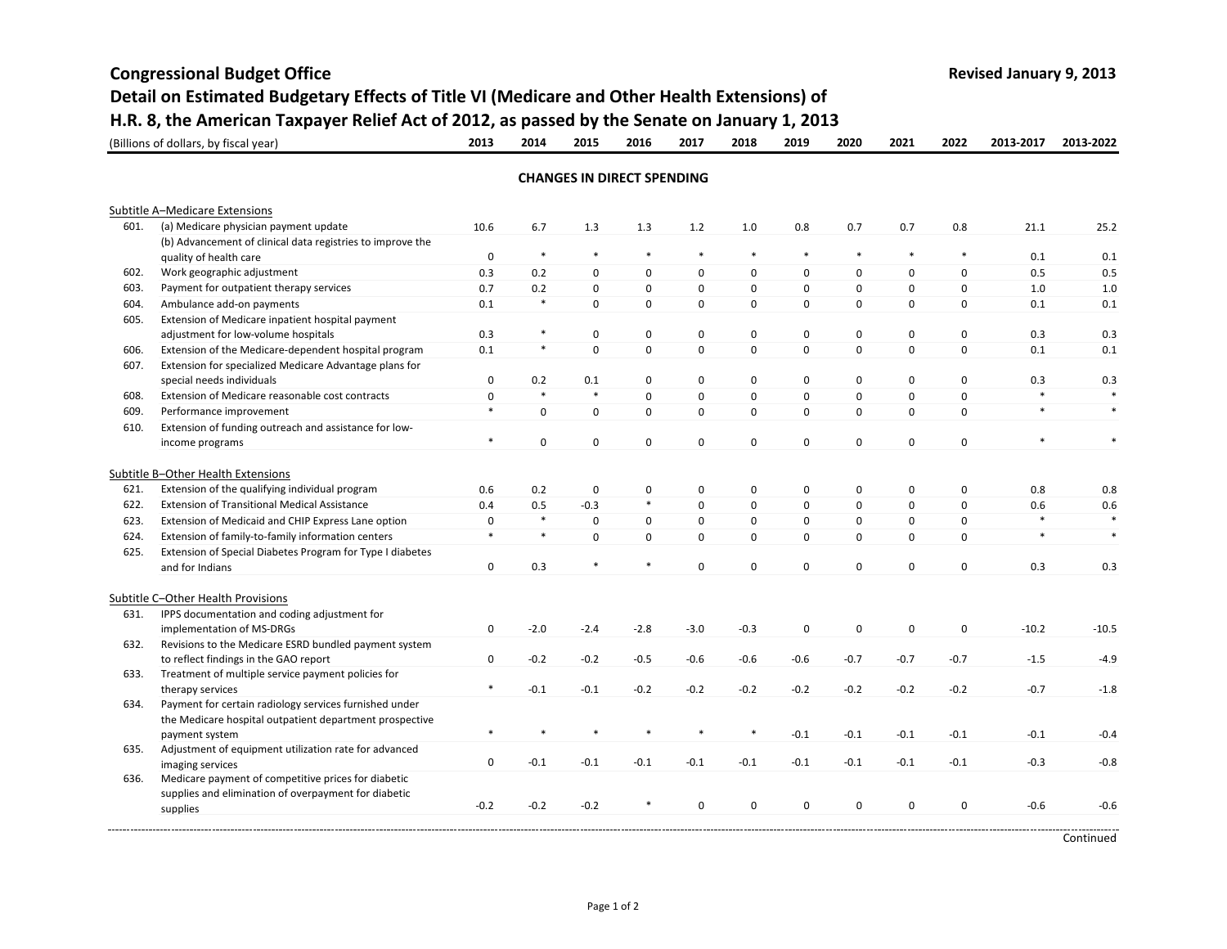## **Congressional Budget Office Revised January 9, <sup>2013</sup>** (Billions of dollars, by fiscal year) **1992 1993 2013 2014 2015 2016 2017 2018 2019 2020 2021 2022 2013-2017 2013-2022** Subtitle A‒Medicare Extensions 601. (a) Medicare physician payment update 10.6 6.7 1.3 1.3 1.2 1.0 0.8 0.7 0.7 0.8 21.1 25.2 (b) Advancement of clinical data registries to improve the quality of health care **120 CM** and the care of the care of the care of the care of the care of the care of the care of the care of the care of the care of the care of the care of the care of the care of the care of the ca 602. Work geographic adjustment 0.3 0.2 0 0 0 0 0 0 0 0 0.5 0.5 603. Payment for outpatient therapy services 60.7 0.2 0 0 0 0 0 0 0 0 0 0 0 1.0 1.0 604. Ambulance add‐on payments 0.1 \* 0 0 0 0 0 0 0 0 0.1 0.1 605. Extension of Medicare inpatient hospital payment adjustment for low-volume hospitals and the control of the control of the control of the control of the control o<br>
adjustment for low-volume hospitals and the control of the control of the control of the control of the con 606. Extension of the Medicare‐dependent hospital program 0.1 \* 0 0 0 0 0.1 0.1 607. Extension for specialized Medicare Advantage plans for special needs individuals 0 0.2 0.1 0 0 0 0 0 0 0 0.3 0.3 608. Extension of Medicare reasonable cost contracts 0\*\*0000000 \* \*609. Performance improvement \*000000000 \* \* 610. Extension of funding outreach and assistance for low‐ income programs programs \*000000000 \* \* Subtitle B‒Other Health Extensions 621. Extension of the qualifying individual program 0.6 0.2 0 0 0 0 0 0 0 0 0.8 0.8 622. Extension of Transitional Medical Assistance 0.4 0.5 ‐0.3 \* 0 0 0 0 0 0 0.6 0.6 623. Extension of Medicaid and CHIP Express Lane option 0\*00000000 \* \* 624. Extension of family‐to‐family information centers \*\*00000000 \* \* 625. Extension of Special Diabetes Program for Type I diabetes and for Indians d for Indians 0 0.3 \* \* 0 0 0 0 0 0.3 0.3 Subtitle C‒Other Health Provisions 631. S documentation and coding adjustment for implementation of MS‐DRGs 0 ‐2.0 ‐2.4 ‐2.8 ‐3.0 ‐0.3 0 0 0 0 ‐10.2 ‐10.5 632. Revisions to the Medicare ESRD bundled payment system to reflect findings in the GAO report 0 ‐0.2 ‐0.2 ‐0.5 ‐0.6 ‐0.6 ‐0.6 ‐0.7 ‐0.7 ‐0.7 ‐1.5 ‐4.9 633. Treatment of multiple service payment policies for therapy services \* -0.1 -0.1 -0.2 -0.2 -0.2 -0.2 -0.2 -0.7 -1.8 634. Payment for certain radiology services furnished under the Medicare hospital outpatient department prospective payment system \*\*\*\*\*\* ‐0.1 ‐0.1 ‐0.1 ‐0.1 ‐0.1 ‐0.4 635. Adjustment of equipment utilization rate for advanced imaging services <sup>0</sup> ‐0.1 ‐0.1 ‐0.1 ‐0.1 ‐0.1 ‐0.1 ‐0.1 ‐0.1 ‐0.1 ‐0.3 ‐0.8 **Detail on Estimated Budgetary Effects of Title VI (Medicare and Other Health Extensions) of H.R. 8, the American Taxpayer Relief Act of 2012, as passed by the Senate on January 1, 2013 CHANGES IN DIRECT SPENDING**

Continued

supplies ‐0.2 ‐0.2 ‐0.2 \* <sup>0</sup> <sup>0</sup> <sup>0</sup> <sup>0</sup> <sup>0</sup> <sup>0</sup> ‐0.6 ‐0.6

636. Medicare payment of competitive prices for diabetic supplies and elimination of overpayment for diabetic